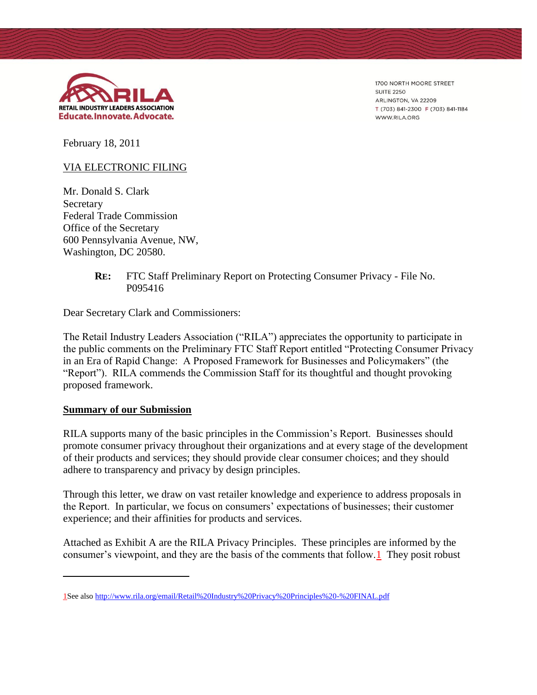

1700 NORTH MOORE STREET **SUITE 2250** ARLINGTON, VA 22209 T (703) 841-2300 F (703) 841-1184 WWW.RILA.ORG

February 18, 2011

### VIA ELECTRONIC FILING

Mr. Donald S. Clark Secretary Federal Trade Commission Office of the Secretary 600 Pennsylvania Avenue, NW, Washington, DC 20580.

### **RE:** FTC Staff Preliminary Report on Protecting Consumer Privacy - File No. P095416

Dear Secretary Clark and Commissioners:

The Retail Industry Leaders Association ("RILA") appreciates the opportunity to participate in the public comments on the Preliminary FTC Staff Report entitled "Protecting Consumer Privacy in an Era of Rapid Change: A Proposed Framework for Businesses and Policymakers" (the "Report"). RILA commends the Commission Staff for its thoughtful and thought provoking proposed framework.

### **Summary of our Submission**

 $\overline{a}$ 

RILA supports many of the basic principles in the Commission's Report. Businesses should promote consumer privacy throughout their organizations and at every stage of the development of their products and services; they should provide clear consumer choices; and they should adhere to transparency and privacy by design principles.

Through this letter, we draw on vast retailer knowledge and experience to address proposals in the Report. In particular, we focus on consumers' expectations of businesses; their customer experience; and their affinities for products and services.

Attached as Exhibit A are the RILA Privacy Principles. These principles are informed by the consumer's viewpoint, and they are the basis of the comments that follow.1 They posit robust

<sup>1</sup>See als[o http://www.rila.org/email/Retail%20Industry%20Privacy%20Principles%20-%20FINAL.pdf](http://www.rila.org/email/Retail%20Industry%20Privacy%20Principles%20-%20FINAL.pdf)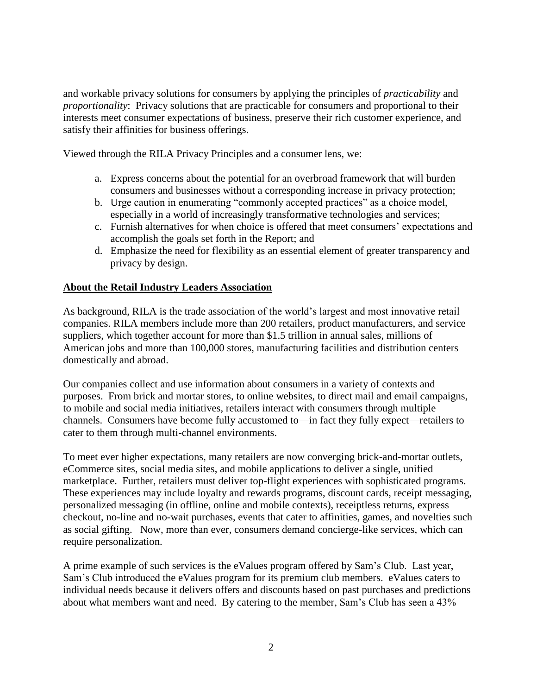and workable privacy solutions for consumers by applying the principles of *practicability* and *proportionality*: Privacy solutions that are practicable for consumers and proportional to their interests meet consumer expectations of business, preserve their rich customer experience, and satisfy their affinities for business offerings.

Viewed through the RILA Privacy Principles and a consumer lens, we:

- a. Express concerns about the potential for an overbroad framework that will burden consumers and businesses without a corresponding increase in privacy protection;
- b. Urge caution in enumerating "commonly accepted practices" as a choice model, especially in a world of increasingly transformative technologies and services;
- c. Furnish alternatives for when choice is offered that meet consumers' expectations and accomplish the goals set forth in the Report; and
- d. Emphasize the need for flexibility as an essential element of greater transparency and privacy by design.

### **About the Retail Industry Leaders Association**

As background, RILA is the trade association of the world's largest and most innovative retail companies. RILA members include more than 200 retailers, product manufacturers, and service suppliers, which together account for more than \$1.5 trillion in annual sales, millions of American jobs and more than 100,000 stores, manufacturing facilities and distribution centers domestically and abroad.

Our companies collect and use information about consumers in a variety of contexts and purposes. From brick and mortar stores, to online websites, to direct mail and email campaigns, to mobile and social media initiatives, retailers interact with consumers through multiple channels. Consumers have become fully accustomed to—in fact they fully expect—retailers to cater to them through multi-channel environments.

To meet ever higher expectations, many retailers are now converging brick-and-mortar outlets, eCommerce sites, social media sites, and mobile applications to deliver a single, unified marketplace. Further, retailers must deliver top-flight experiences with sophisticated programs. These experiences may include loyalty and rewards programs, discount cards, receipt messaging, personalized messaging (in offline, online and mobile contexts), receiptless returns, express checkout, no-line and no-wait purchases, events that cater to affinities, games, and novelties such as social gifting. Now, more than ever, consumers demand concierge-like services, which can require personalization.

A prime example of such services is the eValues program offered by Sam's Club. Last year, Sam's Club introduced the eValues program for its premium club members. eValues caters to individual needs because it delivers offers and discounts based on past purchases and predictions about what members want and need. By catering to the member, Sam's Club has seen a 43%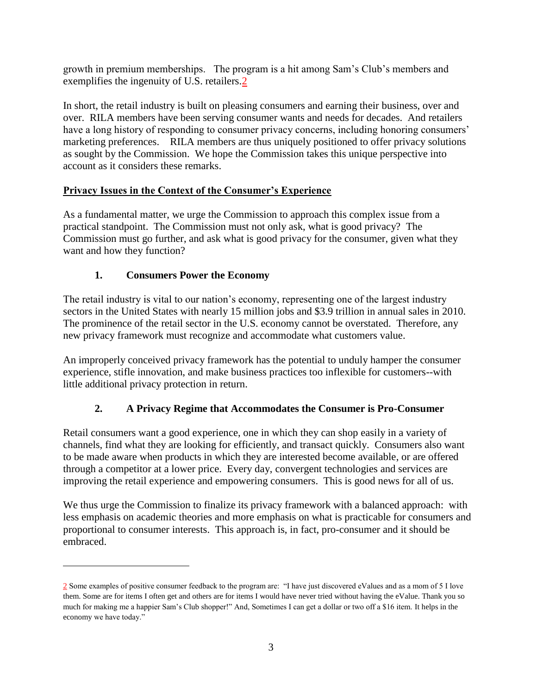growth in premium memberships. The program is a hit among Sam's Club's members and exemplifies the ingenuity of U.S. retailers.2

In short, the retail industry is built on pleasing consumers and earning their business, over and over. RILA members have been serving consumer wants and needs for decades. And retailers have a long history of responding to consumer privacy concerns, including honoring consumers' marketing preferences. RILA members are thus uniquely positioned to offer privacy solutions as sought by the Commission. We hope the Commission takes this unique perspective into account as it considers these remarks.

## **Privacy Issues in the Context of the Consumer's Experience**

As a fundamental matter, we urge the Commission to approach this complex issue from a practical standpoint. The Commission must not only ask, what is good privacy? The Commission must go further, and ask what is good privacy for the consumer, given what they want and how they function?

# **1. Consumers Power the Economy**

 $\overline{a}$ 

The retail industry is vital to our nation's economy, representing one of the largest industry sectors in the United States with nearly 15 million jobs and \$3.9 trillion in annual sales in 2010. The prominence of the retail sector in the U.S. economy cannot be overstated. Therefore, any new privacy framework must recognize and accommodate what customers value.

An improperly conceived privacy framework has the potential to unduly hamper the consumer experience, stifle innovation, and make business practices too inflexible for customers--with little additional privacy protection in return.

# **2. A Privacy Regime that Accommodates the Consumer is Pro-Consumer**

Retail consumers want a good experience, one in which they can shop easily in a variety of channels, find what they are looking for efficiently, and transact quickly. Consumers also want to be made aware when products in which they are interested become available, or are offered through a competitor at a lower price. Every day, convergent technologies and services are improving the retail experience and empowering consumers. This is good news for all of us.

We thus urge the Commission to finalize its privacy framework with a balanced approach: with less emphasis on academic theories and more emphasis on what is practicable for consumers and proportional to consumer interests. This approach is, in fact, pro-consumer and it should be embraced.

<sup>2</sup> Some examples of positive consumer feedback to the program are: "I have just discovered eValues and as a mom of 5 I love them. Some are for items I often get and others are for items I would have never tried without having the eValue. Thank you so much for making me a happier Sam's Club shopper!" And, Sometimes I can get a dollar or two off a \$16 item. It helps in the economy we have today."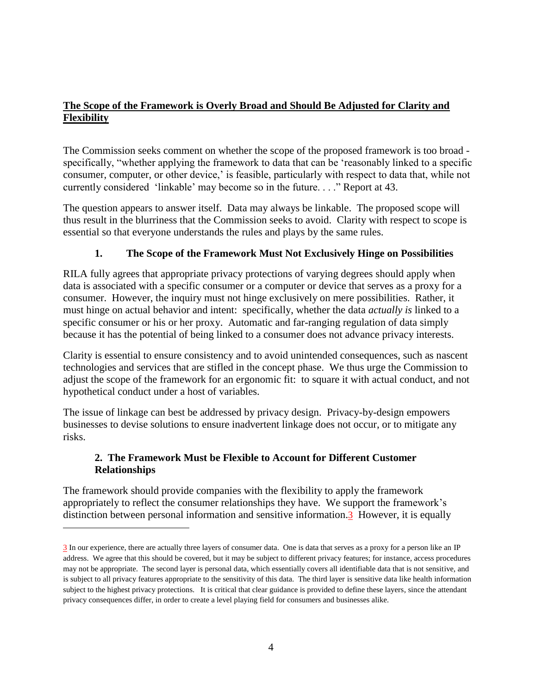## **The Scope of the Framework is Overly Broad and Should Be Adjusted for Clarity and Flexibility**

The Commission seeks comment on whether the scope of the proposed framework is too broad specifically, "whether applying the framework to data that can be 'reasonably linked to a specific consumer, computer, or other device,' is feasible, particularly with respect to data that, while not currently considered 'linkable' may become so in the future. . . ." Report at 43.

The question appears to answer itself. Data may always be linkable. The proposed scope will thus result in the blurriness that the Commission seeks to avoid. Clarity with respect to scope is essential so that everyone understands the rules and plays by the same rules.

## **1. The Scope of the Framework Must Not Exclusively Hinge on Possibilities**

RILA fully agrees that appropriate privacy protections of varying degrees should apply when data is associated with a specific consumer or a computer or device that serves as a proxy for a consumer. However, the inquiry must not hinge exclusively on mere possibilities. Rather, it must hinge on actual behavior and intent: specifically, whether the data *actually is* linked to a specific consumer or his or her proxy. Automatic and far-ranging regulation of data simply because it has the potential of being linked to a consumer does not advance privacy interests.

Clarity is essential to ensure consistency and to avoid unintended consequences, such as nascent technologies and services that are stifled in the concept phase. We thus urge the Commission to adjust the scope of the framework for an ergonomic fit: to square it with actual conduct, and not hypothetical conduct under a host of variables.

The issue of linkage can best be addressed by privacy design. Privacy-by-design empowers businesses to devise solutions to ensure inadvertent linkage does not occur, or to mitigate any risks.

### **2. The Framework Must be Flexible to Account for Different Customer Relationships**

The framework should provide companies with the flexibility to apply the framework appropriately to reflect the consumer relationships they have. We support the framework's distinction between personal information and sensitive information.3 However, it is equally

 $\overline{a}$ 

<sup>3</sup> In our experience, there are actually three layers of consumer data. One is data that serves as a proxy for a person like an IP address. We agree that this should be covered, but it may be subject to different privacy features; for instance, access procedures may not be appropriate. The second layer is personal data, which essentially covers all identifiable data that is not sensitive, and is subject to all privacy features appropriate to the sensitivity of this data. The third layer is sensitive data like health information subject to the highest privacy protections. It is critical that clear guidance is provided to define these layers, since the attendant privacy consequences differ, in order to create a level playing field for consumers and businesses alike.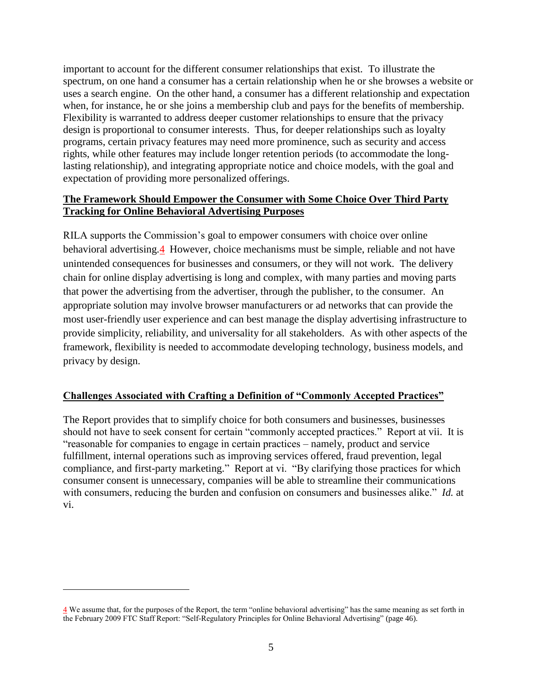important to account for the different consumer relationships that exist. To illustrate the spectrum, on one hand a consumer has a certain relationship when he or she browses a website or uses a search engine. On the other hand, a consumer has a different relationship and expectation when, for instance, he or she joins a membership club and pays for the benefits of membership. Flexibility is warranted to address deeper customer relationships to ensure that the privacy design is proportional to consumer interests. Thus, for deeper relationships such as loyalty programs, certain privacy features may need more prominence, such as security and access rights, while other features may include longer retention periods (to accommodate the longlasting relationship), and integrating appropriate notice and choice models, with the goal and expectation of providing more personalized offerings.

### **The Framework Should Empower the Consumer with Some Choice Over Third Party Tracking for Online Behavioral Advertising Purposes**

RILA supports the Commission's goal to empower consumers with choice over online behavioral advertising.4 However, choice mechanisms must be simple, reliable and not have unintended consequences for businesses and consumers, or they will not work. The delivery chain for online display advertising is long and complex, with many parties and moving parts that power the advertising from the advertiser, through the publisher, to the consumer. An appropriate solution may involve browser manufacturers or ad networks that can provide the most user-friendly user experience and can best manage the display advertising infrastructure to provide simplicity, reliability, and universality for all stakeholders. As with other aspects of the framework, flexibility is needed to accommodate developing technology, business models, and privacy by design.

### **Challenges Associated with Crafting a Definition of "Commonly Accepted Practices"**

The Report provides that to simplify choice for both consumers and businesses, businesses should not have to seek consent for certain "commonly accepted practices." Report at vii. It is "reasonable for companies to engage in certain practices – namely, product and service fulfillment, internal operations such as improving services offered, fraud prevention, legal compliance, and first-party marketing." Report at vi. "By clarifying those practices for which consumer consent is unnecessary, companies will be able to streamline their communications with consumers, reducing the burden and confusion on consumers and businesses alike." *Id.* at vi.

 $\overline{\phantom{a}}$ 

<sup>4</sup> We assume that, for the purposes of the Report, the term "online behavioral advertising" has the same meaning as set forth in the February 2009 FTC Staff Report: "Self-Regulatory Principles for Online Behavioral Advertising" (page 46).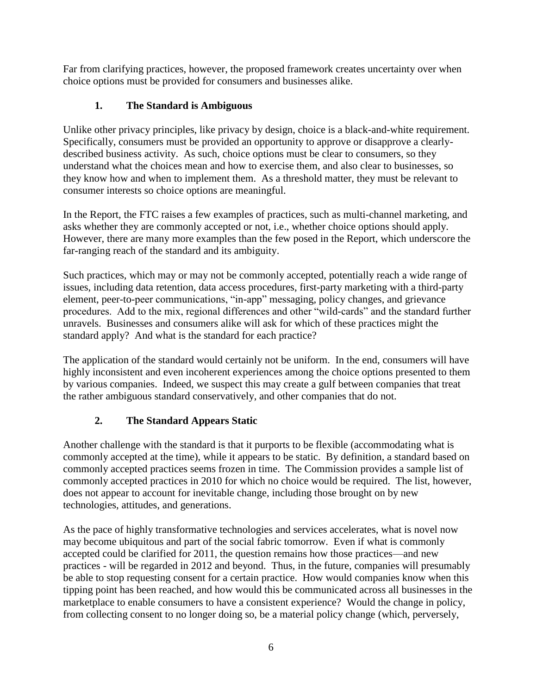Far from clarifying practices, however, the proposed framework creates uncertainty over when choice options must be provided for consumers and businesses alike.

# **1. The Standard is Ambiguous**

Unlike other privacy principles, like privacy by design, choice is a black-and-white requirement. Specifically, consumers must be provided an opportunity to approve or disapprove a clearlydescribed business activity. As such, choice options must be clear to consumers, so they understand what the choices mean and how to exercise them, and also clear to businesses, so they know how and when to implement them. As a threshold matter, they must be relevant to consumer interests so choice options are meaningful.

In the Report, the FTC raises a few examples of practices, such as multi-channel marketing, and asks whether they are commonly accepted or not, i.e., whether choice options should apply. However, there are many more examples than the few posed in the Report, which underscore the far-ranging reach of the standard and its ambiguity.

Such practices, which may or may not be commonly accepted, potentially reach a wide range of issues, including data retention, data access procedures, first-party marketing with a third-party element, peer-to-peer communications, "in-app" messaging, policy changes, and grievance procedures. Add to the mix, regional differences and other "wild-cards" and the standard further unravels. Businesses and consumers alike will ask for which of these practices might the standard apply? And what is the standard for each practice?

The application of the standard would certainly not be uniform. In the end, consumers will have highly inconsistent and even incoherent experiences among the choice options presented to them by various companies. Indeed, we suspect this may create a gulf between companies that treat the rather ambiguous standard conservatively, and other companies that do not.

# **2. The Standard Appears Static**

Another challenge with the standard is that it purports to be flexible (accommodating what is commonly accepted at the time), while it appears to be static. By definition, a standard based on commonly accepted practices seems frozen in time. The Commission provides a sample list of commonly accepted practices in 2010 for which no choice would be required. The list, however, does not appear to account for inevitable change, including those brought on by new technologies, attitudes, and generations.

As the pace of highly transformative technologies and services accelerates, what is novel now may become ubiquitous and part of the social fabric tomorrow. Even if what is commonly accepted could be clarified for 2011, the question remains how those practices—and new practices - will be regarded in 2012 and beyond. Thus, in the future, companies will presumably be able to stop requesting consent for a certain practice. How would companies know when this tipping point has been reached, and how would this be communicated across all businesses in the marketplace to enable consumers to have a consistent experience? Would the change in policy, from collecting consent to no longer doing so, be a material policy change (which, perversely,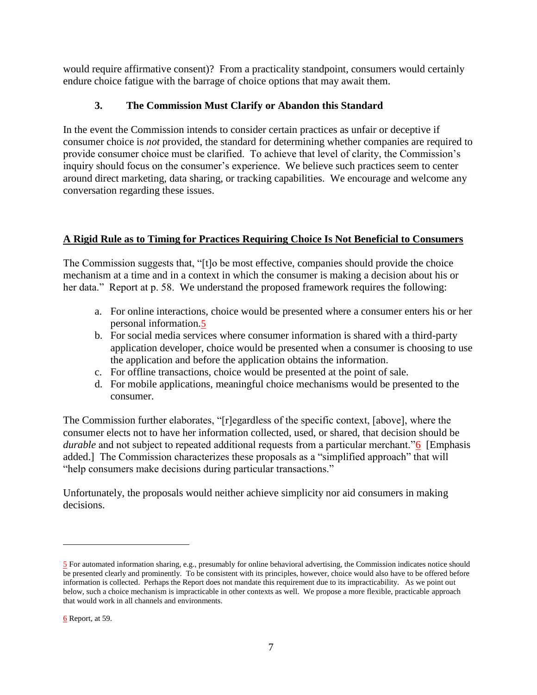would require affirmative consent)? From a practicality standpoint, consumers would certainly endure choice fatigue with the barrage of choice options that may await them.

## **3. The Commission Must Clarify or Abandon this Standard**

In the event the Commission intends to consider certain practices as unfair or deceptive if consumer choice is *not* provided, the standard for determining whether companies are required to provide consumer choice must be clarified. To achieve that level of clarity, the Commission's inquiry should focus on the consumer's experience. We believe such practices seem to center around direct marketing, data sharing, or tracking capabilities. We encourage and welcome any conversation regarding these issues.

## **A Rigid Rule as to Timing for Practices Requiring Choice Is Not Beneficial to Consumers**

The Commission suggests that, "[t]o be most effective, companies should provide the choice mechanism at a time and in a context in which the consumer is making a decision about his or her data." Report at p. 58. We understand the proposed framework requires the following:

- a. For online interactions, choice would be presented where a consumer enters his or her personal information.5
- b. For social media services where consumer information is shared with a third-party application developer, choice would be presented when a consumer is choosing to use the application and before the application obtains the information.
- c. For offline transactions, choice would be presented at the point of sale.
- d. For mobile applications, meaningful choice mechanisms would be presented to the consumer.

The Commission further elaborates, "[r]egardless of the specific context, [above], where the consumer elects not to have her information collected, used, or shared, that decision should be *durable* and not subject to repeated additional requests from a particular merchant."<sup>6</sup> [Emphasis] added.] The Commission characterizes these proposals as a "simplified approach" that will "help consumers make decisions during particular transactions."

Unfortunately, the proposals would neither achieve simplicity nor aid consumers in making decisions.

 $\overline{\phantom{a}}$ 

<sup>5</sup> For automated information sharing, e.g., presumably for online behavioral advertising, the Commission indicates notice should be presented clearly and prominently. To be consistent with its principles, however, choice would also have to be offered before information is collected. Perhaps the Report does not mandate this requirement due to its impracticability. As we point out below, such a choice mechanism is impracticable in other contexts as well. We propose a more flexible, practicable approach that would work in all channels and environments.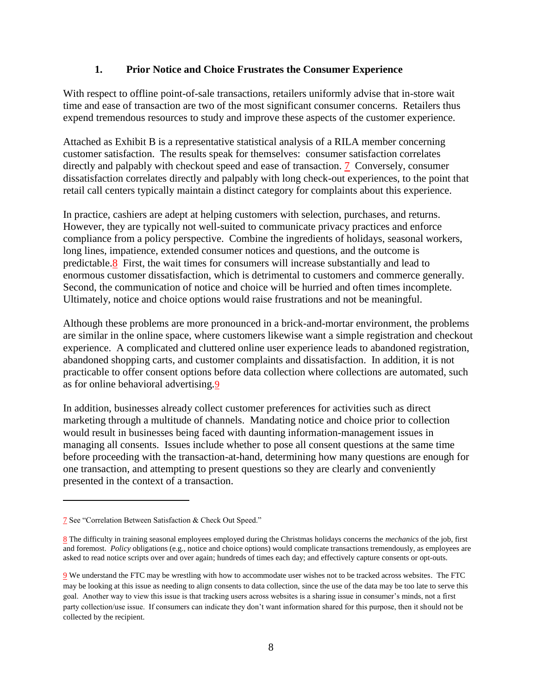### **1. Prior Notice and Choice Frustrates the Consumer Experience**

With respect to offline point-of-sale transactions, retailers uniformly advise that in-store wait time and ease of transaction are two of the most significant consumer concerns. Retailers thus expend tremendous resources to study and improve these aspects of the customer experience.

Attached as Exhibit B is a representative statistical analysis of a RILA member concerning customer satisfaction. The results speak for themselves: consumer satisfaction correlates directly and palpably with checkout speed and ease of transaction. 7 Conversely, consumer dissatisfaction correlates directly and palpably with long check-out experiences, to the point that retail call centers typically maintain a distinct category for complaints about this experience.

In practice, cashiers are adept at helping customers with selection, purchases, and returns. However, they are typically not well-suited to communicate privacy practices and enforce compliance from a policy perspective. Combine the ingredients of holidays, seasonal workers, long lines, impatience, extended consumer notices and questions, and the outcome is predictable.8 First, the wait times for consumers will increase substantially and lead to enormous customer dissatisfaction, which is detrimental to customers and commerce generally. Second, the communication of notice and choice will be hurried and often times incomplete. Ultimately, notice and choice options would raise frustrations and not be meaningful.

Although these problems are more pronounced in a brick-and-mortar environment, the problems are similar in the online space, where customers likewise want a simple registration and checkout experience. A complicated and cluttered online user experience leads to abandoned registration, abandoned shopping carts, and customer complaints and dissatisfaction. In addition, it is not practicable to offer consent options before data collection where collections are automated, such as for online behavioral advertising.9

In addition, businesses already collect customer preferences for activities such as direct marketing through a multitude of channels. Mandating notice and choice prior to collection would result in businesses being faced with daunting information-management issues in managing all consents. Issues include whether to pose all consent questions at the same time before proceeding with the transaction-at-hand, determining how many questions are enough for one transaction, and attempting to present questions so they are clearly and conveniently presented in the context of a transaction.

<sup>7</sup> See "Correlation Between Satisfaction & Check Out Speed."

<sup>8</sup> The difficulty in training seasonal employees employed during the Christmas holidays concerns the *mechanics* of the job, first and foremost. *Policy* obligations (e.g., notice and choice options) would complicate transactions tremendously, as employees are asked to read notice scripts over and over again; hundreds of times each day; and effectively capture consents or opt-outs.

<sup>9</sup> We understand the FTC may be wrestling with how to accommodate user wishes not to be tracked across websites. The FTC may be looking at this issue as needing to align consents to data collection, since the use of the data may be too late to serve this goal. Another way to view this issue is that tracking users across websites is a sharing issue in consumer's minds, not a first party collection/use issue. If consumers can indicate they don't want information shared for this purpose, then it should not be collected by the recipient.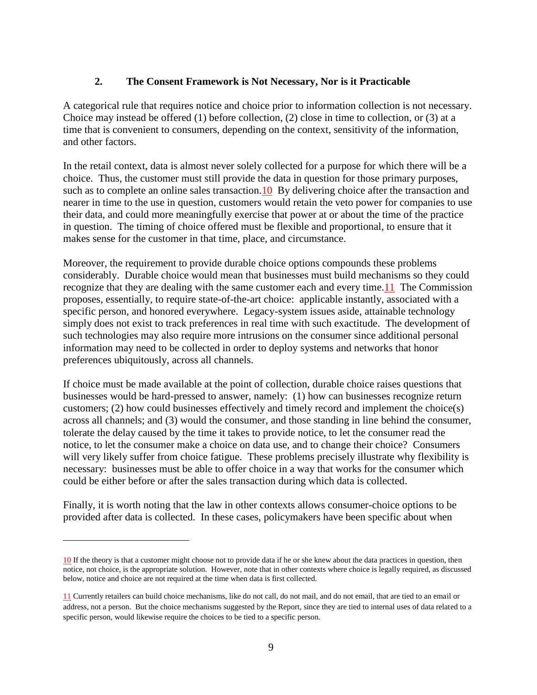### **2. The Consent Framework is Not Necessary, Nor is it Practicable**

A categorical rule that requires notice and choice prior to information collection is not necessary. Choice may instead be offered (1) before collection, (2) close in time to collection, or (3) at a time that is convenient to consumers, depending on the context, sensitivity of the information, and other factors.

In the retail context, data is almost never solely collected for a purpose for which there will be a choice. Thus, the customer must still provide the data in question for those primary purposes, such as to complete an online sales transaction. 10 By delivering choice after the transaction and nearer in time to the use in question, customers would retain the veto power for companies to use their data, and could more meaningfully exercise that power at or about the time of the practice in question. The timing of choice offered must be flexible and proportional, to ensure that it makes sense for the customer in that time, place, and circumstance.

Moreover, the requirement to provide durable choice options compounds these problems considerably. Durable choice would mean that businesses must build mechanisms so they could recognize that they are dealing with the same customer each and every time.11 The Commission proposes, essentially, to require state-of-the-art choice: applicable instantly, associated with a specific person, and honored everywhere. Legacy-system issues aside, attainable technology simply does not exist to track preferences in real time with such exactitude. The development of such technologies may also require more intrusions on the consumer since additional personal information may need to be collected in order to deploy systems and networks that honor preferences ubiquitously, across all channels.

If choice must be made available at the point of collection, durable choice raises questions that businesses would be hard-pressed to answer, namely: (1) how can businesses recognize return customers; (2) how could businesses effectively and timely record and implement the choice(s) across all channels; and (3) would the consumer, and those standing in line behind the consumer, tolerate the delay caused by the time it takes to provide notice, to let the consumer read the notice, to let the consumer make a choice on data use, and to change their choice? Consumers will very likely suffer from choice fatigue. These problems precisely illustrate why flexibility is necessary: businesses must be able to offer choice in a way that works for the consumer which could be either before or after the sales transaction during which data is collected.

Finally, it is worth noting that the law in other contexts allows consumer-choice options to be provided after data is collected. In these cases, policymakers have been specific about when

<sup>10</sup> If the theory is that a customer might choose not to provide data if he or she knew about the data practices in question, then notice, not choice, is the appropriate solution. However, note that in other contexts where choice is legally required, as discussed below, notice and choice are not required at the time when data is first collected.

<sup>11</sup> Currently retailers can build choice mechanisms, like do not call, do not mail, and do not email, that are tied to an email or address, not a person. But the choice mechanisms suggested by the Report, since they are tied to internal uses of data related to a specific person, would likewise require the choices to be tied to a specific person.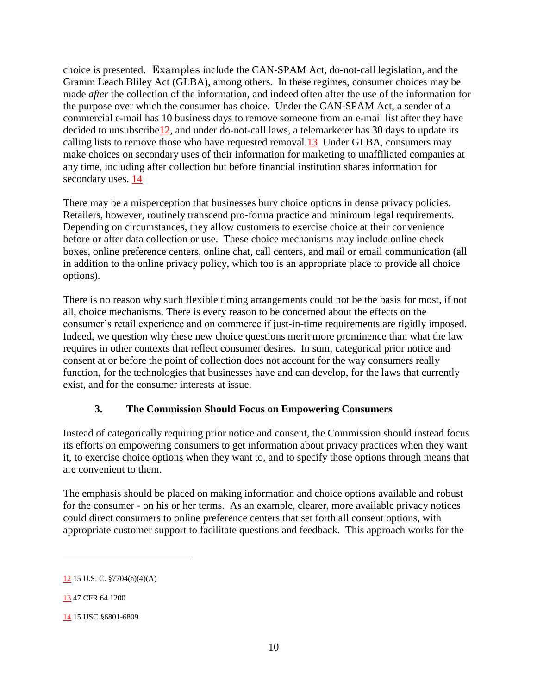choice is presented. Examples include the CAN-SPAM Act, do-not-call legislation, and the Gramm Leach Bliley Act (GLBA), among others. In these regimes, consumer choices may be made *after* the collection of the information, and indeed often after the use of the information for the purpose over which the consumer has choice. Under the CAN-SPAM Act, a sender of a commercial e-mail has 10 business days to remove someone from an e-mail list after they have decided to unsubscribe<sup>12</sup>, and under do-not-call laws, a telemarketer has 30 days to update its calling lists to remove those who have requested removal.13 Under GLBA, consumers may make choices on secondary uses of their information for marketing to unaffiliated companies at any time, including after collection but before financial institution shares information for secondary uses. 14

There may be a misperception that businesses bury choice options in dense privacy policies. Retailers, however, routinely transcend pro-forma practice and minimum legal requirements. Depending on circumstances, they allow customers to exercise choice at their convenience before or after data collection or use. These choice mechanisms may include online check boxes, online preference centers, online chat, call centers, and mail or email communication (all in addition to the online privacy policy, which too is an appropriate place to provide all choice options).

There is no reason why such flexible timing arrangements could not be the basis for most, if not all, choice mechanisms. There is every reason to be concerned about the effects on the consumer's retail experience and on commerce if just-in-time requirements are rigidly imposed. Indeed, we question why these new choice questions merit more prominence than what the law requires in other contexts that reflect consumer desires. In sum, categorical prior notice and consent at or before the point of collection does not account for the way consumers really function, for the technologies that businesses have and can develop, for the laws that currently exist, and for the consumer interests at issue.

### **3. The Commission Should Focus on Empowering Consumers**

Instead of categorically requiring prior notice and consent, the Commission should instead focus its efforts on empowering consumers to get information about privacy practices when they want it, to exercise choice options when they want to, and to specify those options through means that are convenient to them.

The emphasis should be placed on making information and choice options available and robust for the consumer - on his or her terms. As an example, clearer, more available privacy notices could direct consumers to online preference centers that set forth all consent options, with appropriate customer support to facilitate questions and feedback. This approach works for the

<sup>12</sup> 15 U.S. C. §7704(a)(4)(A)

<sup>13 47</sup> CFR 64.1200

<sup>14</sup> 15 USC §6801-6809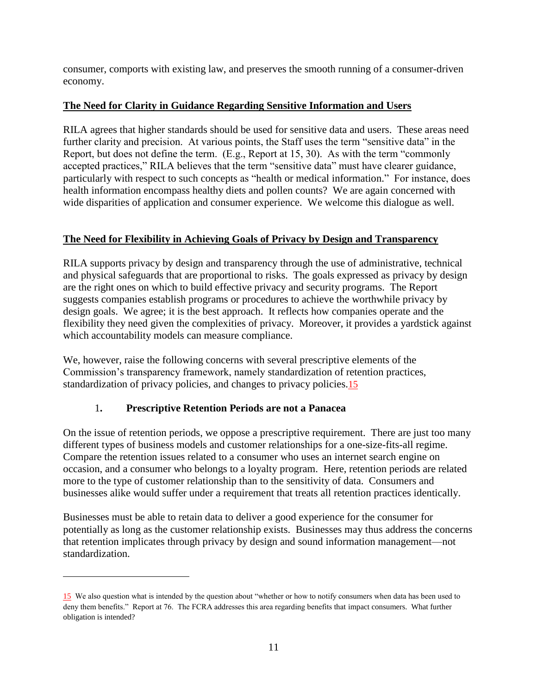consumer, comports with existing law, and preserves the smooth running of a consumer-driven economy.

# **The Need for Clarity in Guidance Regarding Sensitive Information and Users**

RILA agrees that higher standards should be used for sensitive data and users. These areas need further clarity and precision. At various points, the Staff uses the term "sensitive data" in the Report, but does not define the term.  $(E.g., Report at 15, 30)$ . As with the term "commonly accepted practices," RILA believes that the term "sensitive data" must have clearer guidance, particularly with respect to such concepts as "health or medical information." For instance, does health information encompass healthy diets and pollen counts? We are again concerned with wide disparities of application and consumer experience. We welcome this dialogue as well.

# **The Need for Flexibility in Achieving Goals of Privacy by Design and Transparency**

RILA supports privacy by design and transparency through the use of administrative, technical and physical safeguards that are proportional to risks. The goals expressed as privacy by design are the right ones on which to build effective privacy and security programs. The Report suggests companies establish programs or procedures to achieve the worthwhile privacy by design goals. We agree; it is the best approach. It reflects how companies operate and the flexibility they need given the complexities of privacy. Moreover, it provides a yardstick against which accountability models can measure compliance.

We, however, raise the following concerns with several prescriptive elements of the Commission's transparency framework, namely standardization of retention practices, standardization of privacy policies, and changes to privacy policies.15

# 1**. Prescriptive Retention Periods are not a Panacea**

 $\overline{\phantom{a}}$ 

On the issue of retention periods, we oppose a prescriptive requirement. There are just too many different types of business models and customer relationships for a one-size-fits-all regime. Compare the retention issues related to a consumer who uses an internet search engine on occasion, and a consumer who belongs to a loyalty program. Here, retention periods are related more to the type of customer relationship than to the sensitivity of data. Consumers and businesses alike would suffer under a requirement that treats all retention practices identically.

Businesses must be able to retain data to deliver a good experience for the consumer for potentially as long as the customer relationship exists. Businesses may thus address the concerns that retention implicates through privacy by design and sound information management—not standardization.

<sup>15</sup> We also question what is intended by the question about "whether or how to notify consumers when data has been used to deny them benefits." Report at 76. The FCRA addresses this area regarding benefits that impact consumers. What further obligation is intended?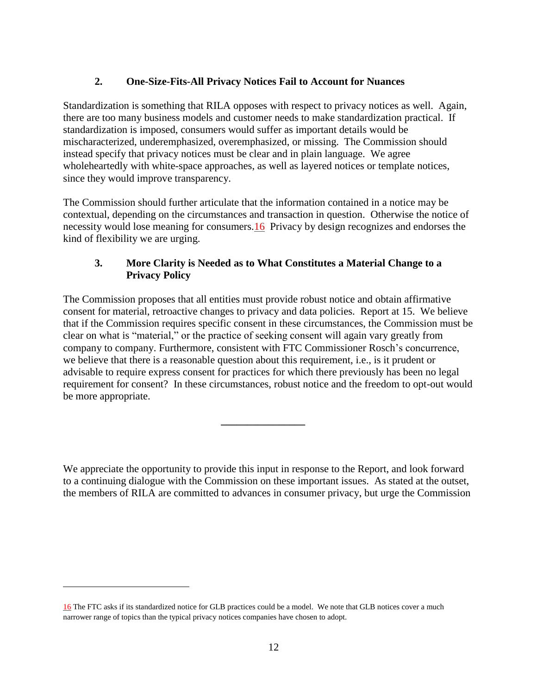## **2. One-Size-Fits-All Privacy Notices Fail to Account for Nuances**

Standardization is something that RILA opposes with respect to privacy notices as well. Again, there are too many business models and customer needs to make standardization practical. If standardization is imposed, consumers would suffer as important details would be mischaracterized, underemphasized, overemphasized, or missing. The Commission should instead specify that privacy notices must be clear and in plain language. We agree wholeheartedly with white-space approaches, as well as layered notices or template notices, since they would improve transparency.

The Commission should further articulate that the information contained in a notice may be contextual, depending on the circumstances and transaction in question. Otherwise the notice of necessity would lose meaning for consumers.16 Privacy by design recognizes and endorses the kind of flexibility we are urging.

## **3. More Clarity is Needed as to What Constitutes a Material Change to a Privacy Policy**

The Commission proposes that all entities must provide robust notice and obtain affirmative consent for material, retroactive changes to privacy and data policies. Report at 15. We believe that if the Commission requires specific consent in these circumstances, the Commission must be clear on what is "material," or the practice of seeking consent will again vary greatly from company to company. Furthermore, consistent with FTC Commissioner Rosch's concurrence, we believe that there is a reasonable question about this requirement, i.e., is it prudent or advisable to require express consent for practices for which there previously has been no legal requirement for consent? In these circumstances, robust notice and the freedom to opt-out would be more appropriate.

We appreciate the opportunity to provide this input in response to the Report, and look forward to a continuing dialogue with the Commission on these important issues. As stated at the outset, the members of RILA are committed to advances in consumer privacy, but urge the Commission

**\_\_\_\_\_\_\_\_\_\_\_\_\_\_\_\_**

<sup>16</sup> The FTC asks if its standardized notice for GLB practices could be a model. We note that GLB notices cover a much narrower range of topics than the typical privacy notices companies have chosen to adopt.